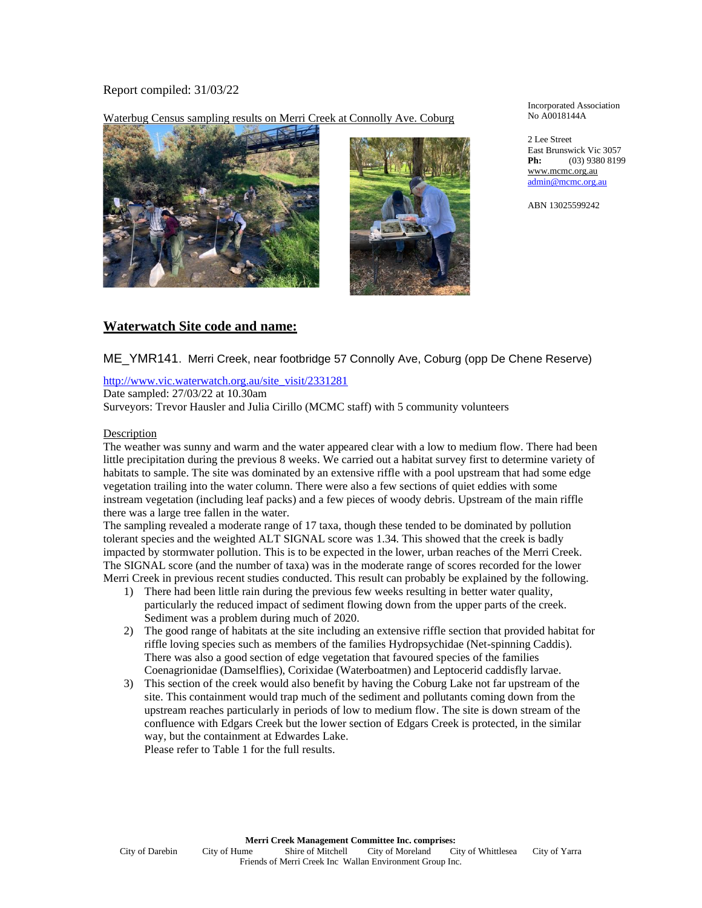## Report compiled: 31/03/22

Waterbug Census sampling results on Merri Creek at Connolly Ave. Coburg





Incorporated Association No A0018144A

2 Lee Street East Brunswick Vic 3057 **Ph:** (03) 9380 8199 www.mcmc.org.au admin@mcmc.org.au

ABN 13025599242

# **Waterwatch Site code and name:**

ME\_YMR141. Merri Creek, near footbridge 57 Connolly Ave, Coburg (opp De Chene Reserve)

http://www.vic.waterwatch.org.au/site\_visit/2331281

Date sampled: 27/03/22 at 10.30am

Surveyors: Trevor Hausler and Julia Cirillo (MCMC staff) with 5 community volunteers

### Description

The weather was sunny and warm and the water appeared clear with a low to medium flow. There had been little precipitation during the previous 8 weeks. We carried out a habitat survey first to determine variety of habitats to sample. The site was dominated by an extensive riffle with a pool upstream that had some edge vegetation trailing into the water column. There were also a few sections of quiet eddies with some instream vegetation (including leaf packs) and a few pieces of woody debris. Upstream of the main riffle there was a large tree fallen in the water.

The sampling revealed a moderate range of 17 taxa, though these tended to be dominated by pollution tolerant species and the weighted ALT SIGNAL score was 1.34. This showed that the creek is badly impacted by stormwater pollution. This is to be expected in the lower, urban reaches of the Merri Creek. The SIGNAL score (and the number of taxa) was in the moderate range of scores recorded for the lower Merri Creek in previous recent studies conducted. This result can probably be explained by the following.

- 1) There had been little rain during the previous few weeks resulting in better water quality, particularly the reduced impact of sediment flowing down from the upper parts of the creek. Sediment was a problem during much of 2020.
- 2) The good range of habitats at the site including an extensive riffle section that provided habitat for riffle loving species such as members of the families Hydropsychidae (Net-spinning Caddis). There was also a good section of edge vegetation that favoured species of the families Coenagrionidae (Damselflies), Corixidae (Waterboatmen) and Leptocerid caddisfly larvae.
- 3) This section of the creek would also benefit by having the Coburg Lake not far upstream of the site. This containment would trap much of the sediment and pollutants coming down from the upstream reaches particularly in periods of low to medium flow. The site is down stream of the confluence with Edgars Creek but the lower section of Edgars Creek is protected, in the similar way, but the containment at Edwardes Lake. Please refer to Table 1 for the full results.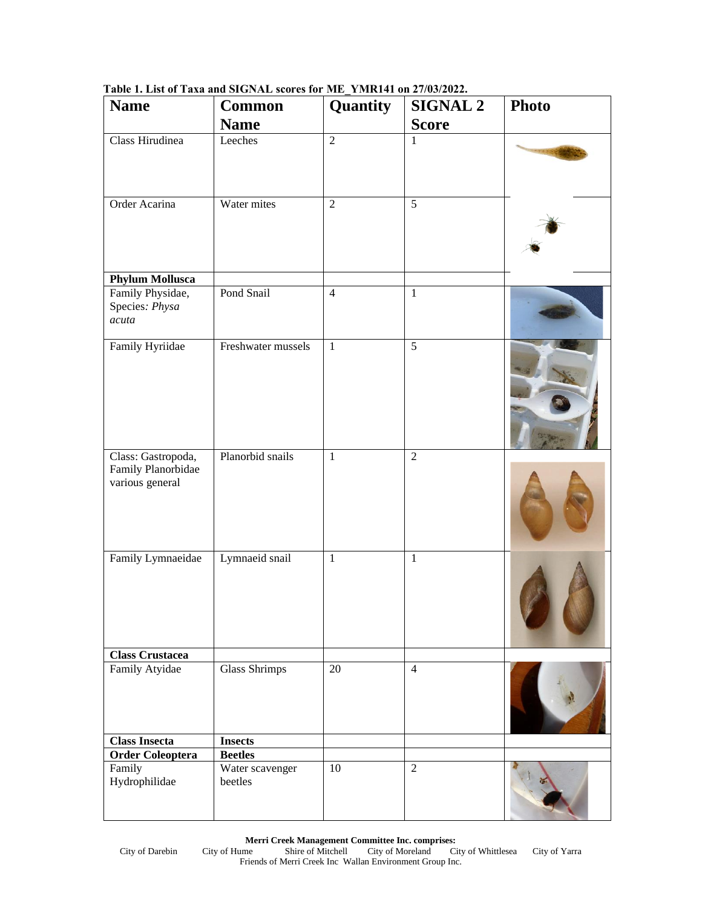| <b>Name</b>                                                 | <b>Common</b><br><b>Name</b> | Quantity       | <b>SIGNAL 2</b><br><b>Score</b> | <b>Photo</b> |
|-------------------------------------------------------------|------------------------------|----------------|---------------------------------|--------------|
| Class Hirudinea                                             | Leeches                      | $\overline{2}$ | $\mathbf{1}$                    |              |
| Order Acarina                                               | Water mites                  | $\overline{2}$ | $\overline{5}$                  |              |
| <b>Phylum Mollusca</b>                                      |                              |                |                                 |              |
| Family Physidae,<br>Species: Physa<br>acuta                 | Pond Snail                   | $\overline{4}$ | $\mathbf{1}$                    |              |
| Family Hyriidae                                             | Freshwater mussels           | $\mathbf{1}$   | $\overline{5}$                  |              |
| Class: Gastropoda,<br>Family Planorbidae<br>various general | Planorbid snails             | $\mathbf{1}$   | $\overline{2}$                  |              |
| Family Lymnaeidae                                           | Lymnaeid snail               | $\mathbf{1}$   | $\mathbf{1}$                    |              |
| <b>Class Crustacea</b>                                      |                              |                |                                 |              |
| Family Atyidae                                              | <b>Glass Shrimps</b>         | 20             | $\overline{4}$                  |              |
| <b>Class Insecta</b>                                        | <b>Insects</b>               |                |                                 |              |
| <b>Order Coleoptera</b>                                     | <b>Beetles</b>               |                |                                 |              |
| Family<br>Hydrophilidae                                     | Water scavenger<br>beetles   | 10             | 2                               |              |

**Table 1. List of Taxa and SIGNAL scores for ME\_YMR141 on 27/03/2022.**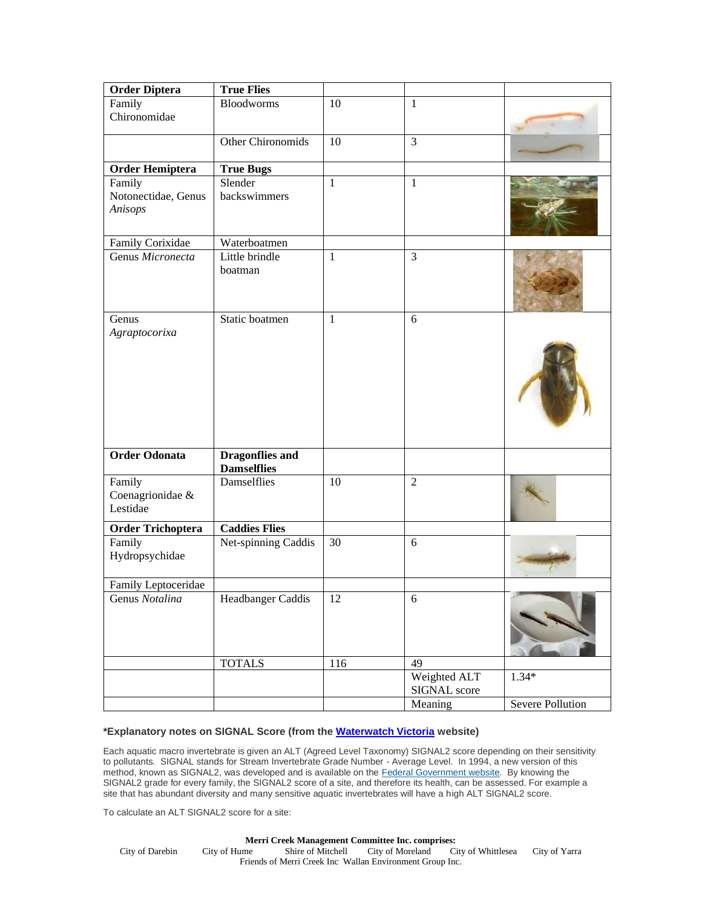| <b>Order Diptera</b>           | <b>True Flies</b>                            |              |                              |                  |
|--------------------------------|----------------------------------------------|--------------|------------------------------|------------------|
| Family                         | <b>Bloodworms</b>                            | 10           | $\mathbf{1}$                 |                  |
| Chironomidae                   |                                              |              |                              |                  |
|                                | Other Chironomids                            | 10           | $\overline{3}$               |                  |
| <b>Order Hemiptera</b>         | <b>True Bugs</b>                             |              |                              |                  |
| Family                         | Slender                                      | $\mathbf{1}$ | $\mathbf{1}$                 |                  |
| Notonectidae, Genus<br>Anisops | backswimmers                                 |              |                              |                  |
| Family Corixidae               | Waterboatmen                                 |              |                              |                  |
| Genus Micronecta               | Little brindle<br>boatman                    | 1            | $\overline{3}$               |                  |
| Genus                          | Static boatmen                               | $\mathbf{1}$ | 6                            |                  |
| Agraptocorixa                  |                                              |              |                              |                  |
| <b>Order Odonata</b>           | <b>Dragonflies and</b><br><b>Damselflies</b> |              |                              |                  |
| Family                         | Damselflies                                  | 10           | 2                            |                  |
| Coenagrionidae &               |                                              |              |                              |                  |
| Lestidae                       |                                              |              |                              |                  |
| <b>Order Trichoptera</b>       | <b>Caddies Flies</b>                         |              |                              |                  |
| Family<br>Hydropsychidae       | Net-spinning Caddis                          | 30           | 6                            |                  |
| Family Leptoceridae            |                                              |              |                              |                  |
| Genus Notalina                 | Headbanger Caddis                            | 12           | $\sqrt{6}$                   |                  |
|                                | <b>TOTALS</b>                                | 116          | 49                           |                  |
|                                |                                              |              | Weighted ALT<br>SIGNAL score | $1.34*$          |
|                                |                                              |              | Meaning                      | Severe Pollution |

### **\*Explanatory notes on SIGNAL Score (from the [Waterwatch Victoria](http://www.vic.waterwatch.org.au/cb_pages/waterway_and_catchment_health_resources.php) website)**

Each aquatic macro invertebrate is given an ALT (Agreed Level Taxonomy) SIGNAL2 score depending on their sensitivity to pollutants. SIGNAL stands for Stream Invertebrate Grade Number - Average Level. In 1994, a new version of this method, known as SIGNAL2, was developed and is available on the [Federal Government website.](http://www.environment.gov.au/about-us/publications/archive#water) By knowing the SIGNAL2 grade for every family, the SIGNAL2 score of a site, and therefore its health, can be assessed. For example a site that has abundant diversity and many sensitive aquatic invertebrates will have a high ALT SIGNAL2 score.

To calculate an ALT SIGNAL2 score for a site:

**Merri Creek Management Committee Inc. comprises:**<br>City of Hume Shire of Mitchell City of Moreland C City of Darebin City of Hume Shire of Mitchell City of Moreland City of Whittlesea City of Yarra Friends of Merri Creek Inc Wallan Environment Group Inc.